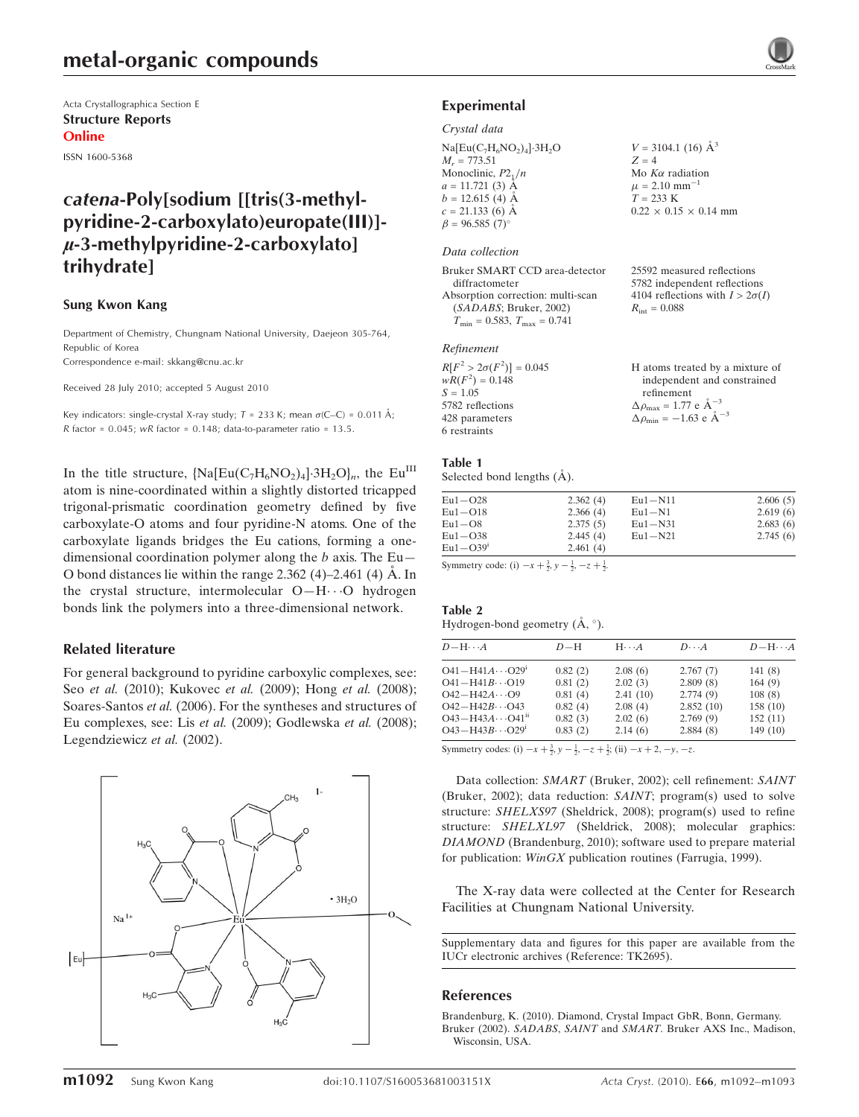Acta Crystallographica Section E Structure Reports Online

ISSN 1600-5368

## catena-Poly[sodium [[tris(3-methylpyridine-2-carboxylato)europate(III)]-  $\mu$ -3-methylpyridine-2-carboxylato] trihydrate]

### Sung Kwon Kang

Department of Chemistry, Chungnam National University, Daejeon 305-764, Republic of Korea

Correspondence e-mail: skkang@cnu.ac.kr

Received 28 July 2010; accepted 5 August 2010

Key indicators: single-crystal X-ray study;  $T = 233$  K; mean  $\sigma$ (C–C) = 0.011 Å; R factor =  $0.045$ ; wR factor =  $0.148$ ; data-to-parameter ratio =  $13.5$ .

In the title structure,  $[Na[Eu(C_7H_6NO_2)_4]\cdot 3H_2O]_n$ , the Eu<sup>III</sup> atom is nine-coordinated within a slightly distorted tricapped trigonal-prismatic coordination geometry defined by five carboxylate-O atoms and four pyridine-N atoms. One of the carboxylate ligands bridges the Eu cations, forming a onedimensional coordination polymer along the b axis. The  $Eu-$ O bond distances lie within the range  $2.362$  (4)–2.461 (4) Å. In the crystal structure, intermolecular O-H··· O hydrogen bonds link the polymers into a three-dimensional network.

## Related literature

For general background to pyridine carboxylic complexes, see: Seo et al. (2010); Kukovec et al. (2009); Hong et al. (2008); Soares-Santos et al. (2006). For the syntheses and structures of Eu complexes, see: Lis et al. (2009); Godlewska et al. (2008); Legendziewicz et al. (2002).





#### Crystal data

 $Na[Eu(C<sub>7</sub>H<sub>6</sub>NO<sub>2</sub>)<sub>4</sub>] $\cdot 3H<sub>2</sub>O$$  $M_r = 773.51$ Monoclinic,  $P2_1/n$  $a = 11.721(3)$  Å  $b = 12.615(4)$  Å  $c = 21.133(6)$  Å  $\beta = 96.585(7)$ °

#### Data collection

Bruker SMART CCD area-detector diffractometer Absorption correction: multi-scan (SADABS; Bruker, 2002)  $T_{\text{min}} = 0.583, T_{\text{max}} = 0.741$ 

#### Refinement

| $R[F^2 > 2\sigma(F^2)] = 0.045$ | H atoms treated by a mixture of                              |
|---------------------------------|--------------------------------------------------------------|
| $wR(F^2) = 0.148$               | independent and constrained                                  |
| $S = 1.05$                      | refinement                                                   |
| 5782 reflections                | $\Delta \rho_{\text{max}} = 1.77 \text{ e } \text{\AA}^{-3}$ |
| 428 parameters                  | $\Delta \rho_{\text{min}} = -1.63$ e $\AA^{-3}$              |
| 6 restraints                    |                                                              |

 $V = 3104.1$  (16)  $\AA^3$ 

 $0.22 \times 0.15 \times 0.14$  mm

25592 measured reflections 5782 independent reflections 4104 reflections with  $I > 2\sigma(I)$ 

 $\cdot \cdot A$ 

Mo  $K\alpha$  radiation  $\mu$  = 2.10 mm<sup>-1</sup>  $T = 233$  K

 $R_{\text{int}} = 0.088$ 

 $Z = 4$ 

#### Table 1

Table 2

 $O43 - H43B...$ 

Selected bond lengths  $(A)$ .

| $Eu1 - O28$  | 2.362(4) | $Eu1 - N11$ | 2.606(5) |
|--------------|----------|-------------|----------|
| $Eu1 - O18$  | 2.366(4) | $Eu1 - N1$  | 2.619(6) |
| $Eu1-08$     | 2.375(5) | $Eu1 - N31$ | 2.683(6) |
| $Eu1 - O38$  | 2.445(4) | $Eu1 - N21$ | 2.745(6) |
| $Eu1 - O39i$ | 2.461(4) |             |          |

Symmetry code: (i)  $-x + \frac{3}{2}$ ,  $y - \frac{1}{2}$ ,  $-z + \frac{1}{2}$ .

| Hydrogen-bond geometry $(A, \circ)$ . |         |                         |                      |                   |  |  |
|---------------------------------------|---------|-------------------------|----------------------|-------------------|--|--|
| $D - H \cdots A$                      | $D-H$   | $H \cdot \cdot \cdot A$ | $D\cdot\cdot\cdot A$ | $D-H \cdot \cdot$ |  |  |
| $O41 - H41A \cdots O29$ <sup>1</sup>  | 0.82(2) | 2.08(6)                 | 2.767(7)             | 141(8)            |  |  |
| $O41 - H41B \cdots O19$               | 0.81(2) | 2.02(3)                 | 2.809(8)             | 164(9)            |  |  |
| $O42 - H42A \cdots O9$                | 0.81(4) | 2.41(10)                | 2.774(9)             | 108(8)            |  |  |
| $O42 - H42B \cdots O43$               | 0.82(4) | 2.08(4)                 | 2.852(10)            | 158(10)           |  |  |
| $O43 - H43A \cdots O41$ <sup>ii</sup> | 0.82(3) | 2.02(6)                 | 2.769(9)             | 152(11)           |  |  |

Symmetry codes: (i)  $-x + \frac{3}{2}$ ,  $y - \frac{1}{2}$ ,  $-z + \frac{1}{2}$ ; (ii)  $-x + 2$ ,  $-y$ ,  $-z$ .

Data collection: SMART (Bruker, 2002); cell refinement: SAINT (Bruker, 2002); data reduction: SAINT; program(s) used to solve structure: SHELXS97 (Sheldrick, 2008); program(s) used to refine structure: SHELXL97 (Sheldrick, 2008); molecular graphics: DIAMOND (Brandenburg, 2010); software used to prepare material for publication: WinGX publication routines (Farrugia, 1999).

 $0.83(2)$   $2.14(6)$   $2.884(8)$   $149(10)$ 

The X-ray data were collected at the Center for Research Facilities at Chungnam National University.

Supplementary data and figures for this paper are available from the IUCr electronic archives (Reference: TK2695).

### References

[Brandenburg, K. \(2010\). Diamond, Crystal Impact GbR, Bonn, Germany.](https://scripts.iucr.org/cgi-bin/cr.cgi?rm=pdfbb&cnor=tk2695&bbid=BB1) Bruker (2002). SADABS, SAINT and SMART[. Bruker AXS Inc., Madison,](https://scripts.iucr.org/cgi-bin/cr.cgi?rm=pdfbb&cnor=tk2695&bbid=BB2) [Wisconsin, USA.](https://scripts.iucr.org/cgi-bin/cr.cgi?rm=pdfbb&cnor=tk2695&bbid=BB2)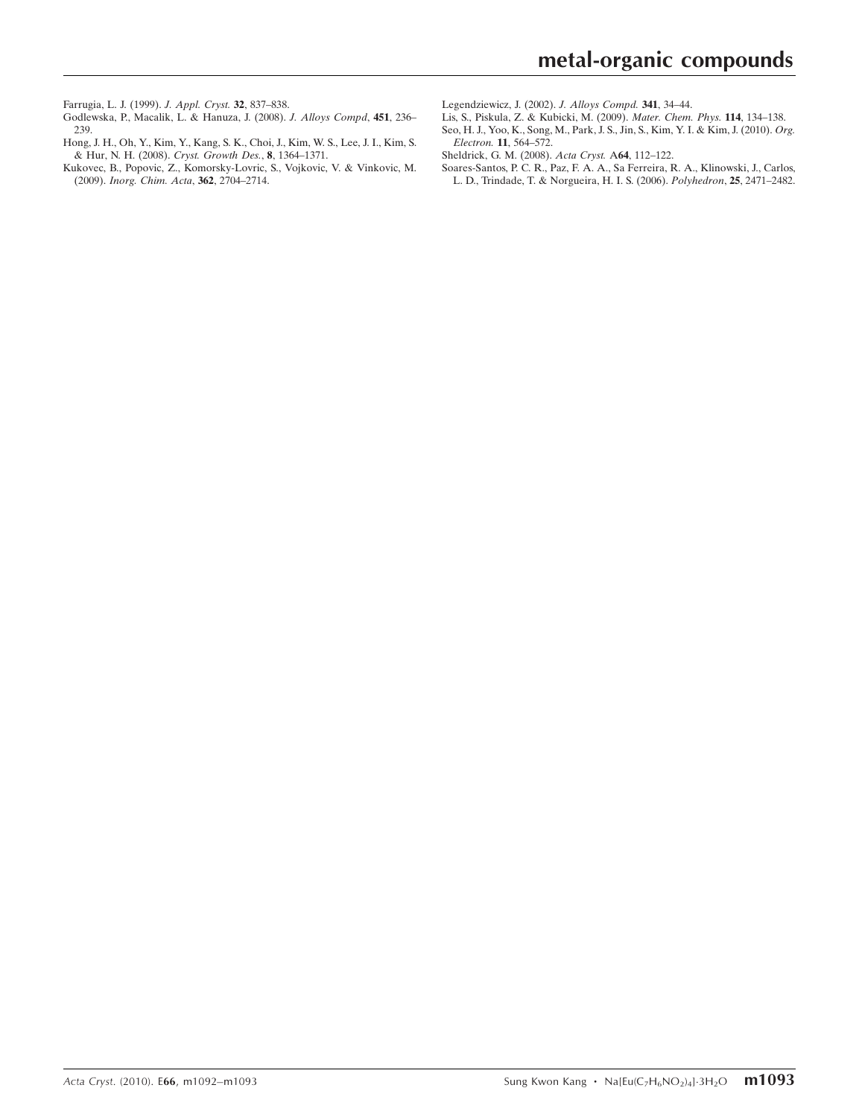[Farrugia, L. J. \(1999\).](https://scripts.iucr.org/cgi-bin/cr.cgi?rm=pdfbb&cnor=tk2695&bbid=BB3) J. Appl. Cryst. 32, 837–838.

- [Godlewska, P., Macalik, L. & Hanuza, J. \(2008\).](https://scripts.iucr.org/cgi-bin/cr.cgi?rm=pdfbb&cnor=tk2695&bbid=BB4) J. Alloys Compd, 451, 236– [239.](https://scripts.iucr.org/cgi-bin/cr.cgi?rm=pdfbb&cnor=tk2695&bbid=BB4)
- [Hong, J. H., Oh, Y., Kim, Y., Kang, S. K., Choi, J., Kim, W. S., Lee, J. I., Kim, S.](https://scripts.iucr.org/cgi-bin/cr.cgi?rm=pdfbb&cnor=tk2695&bbid=BB5) [& Hur, N. H. \(2008\).](https://scripts.iucr.org/cgi-bin/cr.cgi?rm=pdfbb&cnor=tk2695&bbid=BB5) Cryst. Growth Des., 8, 1364–1371.
- [Kukovec, B., Popovic, Z., Komorsky-Lovric, S., Vojkovic, V. & Vinkovic, M.](https://scripts.iucr.org/cgi-bin/cr.cgi?rm=pdfbb&cnor=tk2695&bbid=BB6) (2009). [Inorg. Chim. Acta](https://scripts.iucr.org/cgi-bin/cr.cgi?rm=pdfbb&cnor=tk2695&bbid=BB6), 362, 2704–2714.
- [Legendziewicz, J. \(2002\).](https://scripts.iucr.org/cgi-bin/cr.cgi?rm=pdfbb&cnor=tk2695&bbid=BB7) J. Alloys Compd. 341, 34–44.
- [Lis, S., Piskula, Z. & Kubicki, M. \(2009\).](https://scripts.iucr.org/cgi-bin/cr.cgi?rm=pdfbb&cnor=tk2695&bbid=BB8) Mater. Chem. Phys. 114, 134–138.
- [Seo, H. J., Yoo, K., Song, M., Park, J. S., Jin, S., Kim, Y. I. & Kim, J. \(2010\).](https://scripts.iucr.org/cgi-bin/cr.cgi?rm=pdfbb&cnor=tk2695&bbid=BB9) Org. Electron. 11[, 564–572.](https://scripts.iucr.org/cgi-bin/cr.cgi?rm=pdfbb&cnor=tk2695&bbid=BB9)
- [Sheldrick, G. M. \(2008\).](https://scripts.iucr.org/cgi-bin/cr.cgi?rm=pdfbb&cnor=tk2695&bbid=BB10) Acta Cryst. A64, 112–122.
- [Soares-Santos, P. C. R., Paz, F. A. A., Sa Ferreira, R. A., Klinowski, J., Carlos,](https://scripts.iucr.org/cgi-bin/cr.cgi?rm=pdfbb&cnor=tk2695&bbid=BB11) [L. D., Trindade, T. & Norgueira, H. I. S. \(2006\).](https://scripts.iucr.org/cgi-bin/cr.cgi?rm=pdfbb&cnor=tk2695&bbid=BB11) Polyhedron, 25, 2471–2482.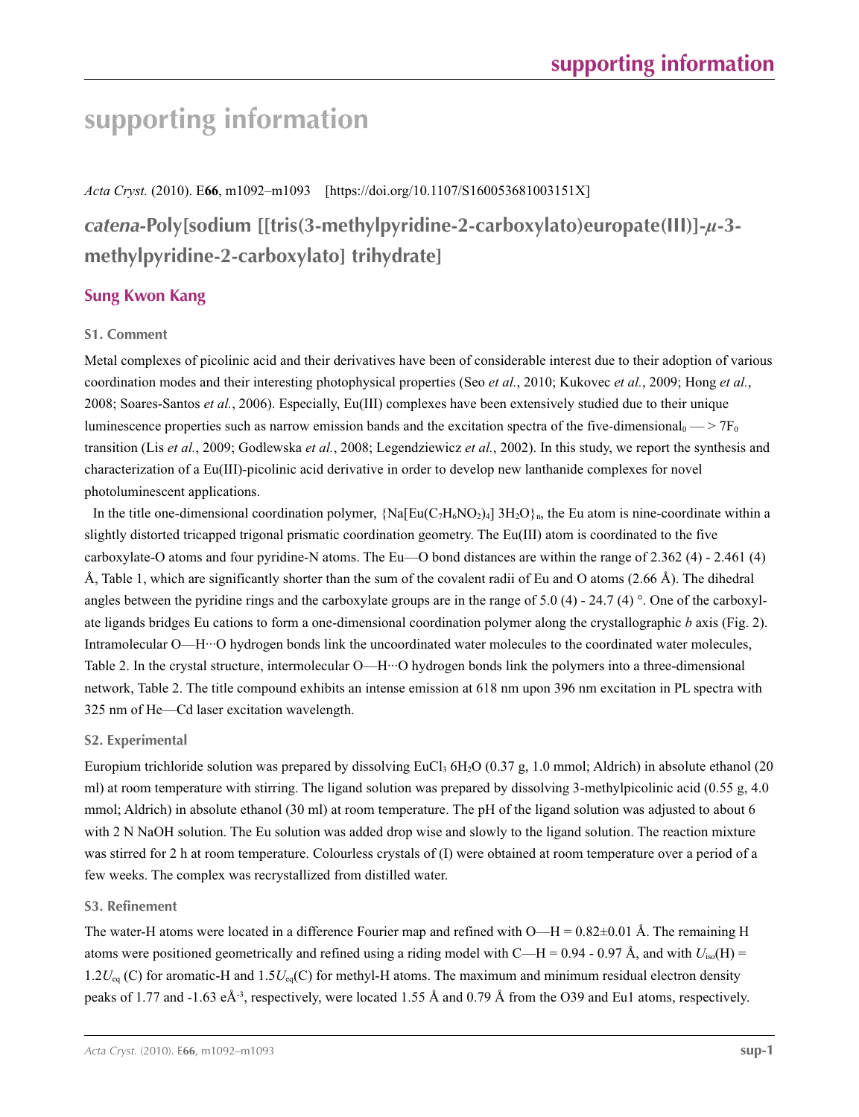# **supporting information**

*Acta Cryst.* (2010). E**66**, m1092–m1093 [https://doi.org/10.1107/S160053681003151X]

*catena***-Poly[sodium [[tris(3-methylpyridine-2-carboxylato)europate(III)]-***µ***-3 methylpyridine-2-carboxylato] trihydrate]**

## **Sung Kwon Kang**

## **S1. Comment**

Metal complexes of picolinic acid and their derivatives have been of considerable interest due to their adoption of various coordination modes and their interesting photophysical properties (Seo *et al.*, 2010; Kukovec *et al.*, 2009; Hong *et al.*, 2008; Soares-Santos *et al.*, 2006). Especially, Eu(III) complexes have been extensively studied due to their unique luminescence properties such as narrow emission bands and the excitation spectra of the five-dimensional  $\sim$   $>$  7F<sub>0</sub> transition (Lis *et al.*, 2009; Godlewska *et al.*, 2008; Legendziewicz *et al.*, 2002). In this study, we report the synthesis and characterization of a Eu(III)-picolinic acid derivative in order to develop new lanthanide complexes for novel photoluminescent applications.

In the title one-dimensional coordination polymer,  $\{Na[Eu(C<sub>7</sub>H<sub>6</sub>NO<sub>2</sub>)<sub>4</sub>] 3H<sub>2</sub>O<sub>1</sub>$ , the Eu atom is nine-coordinate within a slightly distorted tricapped trigonal prismatic coordination geometry. The Eu(III) atom is coordinated to the five carboxylate-O atoms and four pyridine-N atoms. The Eu—O bond distances are within the range of 2.362 (4) - 2.461 (4) Å, Table 1, which are significantly shorter than the sum of the covalent radii of Eu and O atoms  $(2.66 \text{ Å})$ . The dihedral angles between the pyridine rings and the carboxylate groups are in the range of 5.0 (4) - 24.7 (4)  $^{\circ}$ . One of the carboxylate ligands bridges Eu cations to form a one-dimensional coordination polymer along the crystallographic *b* axis (Fig. 2). Intramolecular O—H···O hydrogen bonds link the uncoordinated water molecules to the coordinated water molecules, Table 2. In the crystal structure, intermolecular O—H···O hydrogen bonds link the polymers into a three-dimensional network, Table 2. The title compound exhibits an intense emission at 618 nm upon 396 nm excitation in PL spectra with 325 nm of He—Cd laser excitation wavelength.

## **S2. Experimental**

Europium trichloride solution was prepared by dissolving EuCl<sub>3</sub> 6H<sub>2</sub>O (0.37 g, 1.0 mmol; Aldrich) in absolute ethanol (20 ml) at room temperature with stirring. The ligand solution was prepared by dissolving 3-methylpicolinic acid (0.55 g, 4.0 mmol; Aldrich) in absolute ethanol (30 ml) at room temperature. The pH of the ligand solution was adjusted to about 6 with 2 N NaOH solution. The Eu solution was added drop wise and slowly to the ligand solution. The reaction mixture was stirred for 2 h at room temperature. Colourless crystals of (I) were obtained at room temperature over a period of a few weeks. The complex was recrystallized from distilled water.

## **S3. Refinement**

The water-H atoms were located in a difference Fourier map and refined with  $O-H = 0.82\pm0.01$  Å. The remaining H atoms were positioned geometrically and refined using a riding model with C—H = 0.94 - 0.97 Å, and with  $U_{iso}(H)$  = 1.2*U*eq (C) for aromatic-H and 1.5*U*eq(C) for methyl-H atoms. The maximum and minimum residual electron density peaks of 1.77 and -1.63 eÅ-3, respectively, were located 1.55 Å and 0.79 Å from the O39 and Eu1 atoms, respectively.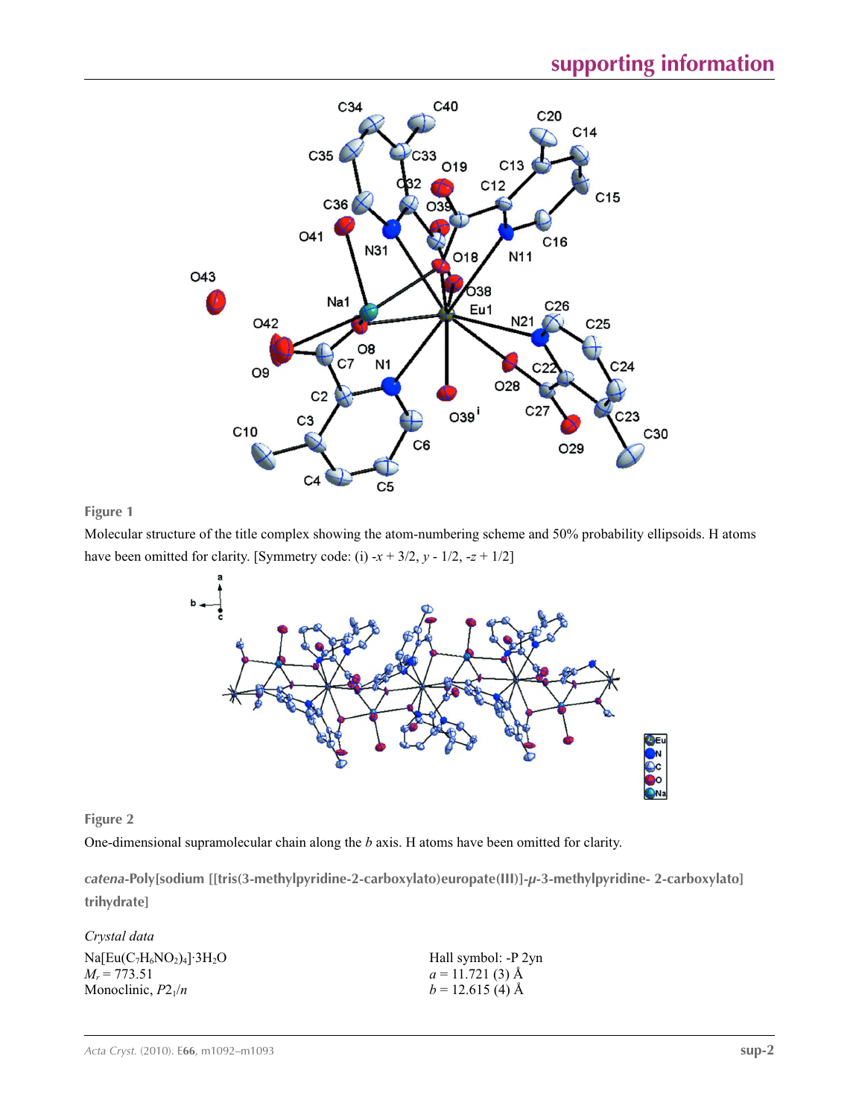

## **Figure 1**

Molecular structure of the title complex showing the atom-numbering scheme and 50% probability ellipsoids. H atoms have been omitted for clarity. [Symmetry code: (i)  $-x + 3/2$ ,  $y - 1/2$ ,  $-z + 1/2$ ]



## **Figure 2**

One-dimensional supramolecular chain along the *b* axis. H atoms have been omitted for clarity.

*catena***-Poly[sodium [[tris(3-methylpyridine-2-carboxylato)europate(III)]-***µ***-3-methylpyridine- 2-carboxylato] trihydrate]** 

| Crystal data                 |                     |
|------------------------------|---------------------|
| $Na[Eu(C7H6NO2)4]\cdot 3H2O$ | Hall symbol: -P 2yn |
| $M_r = 773.51$               | $a = 11.721(3)$ Å   |
| Monoclinic, $P2_1/n$         | $b = 12.615(4)$ Å   |
|                              |                     |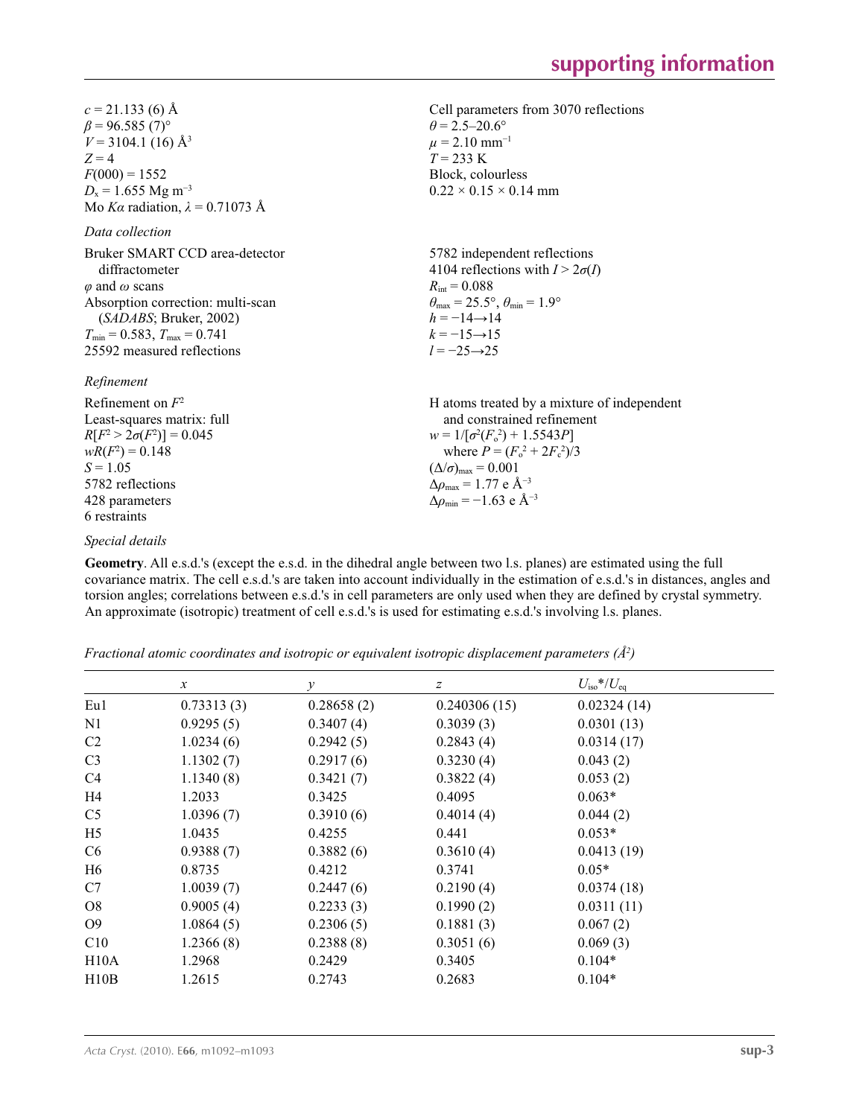Cell parameters from 3070 reflections

 $\theta = 2.5 - 20.6^{\circ}$  $\mu$  = 2.10 mm<sup>-1</sup>  $T = 233 \text{ K}$ Block, colourless  $0.22 \times 0.15 \times 0.14$  mm

 $c = 21.133(6)$  Å  $\beta$  = 96.585 (7)<sup>°</sup>  $V = 3104.1$  (16) Å<sup>3</sup>  $Z = 4$  $F(000) = 1552$ *D*<sub>x</sub> = 1.655 Mg m<sup>-3</sup> Mo *Kα* radiation, *λ* = 0.71073 Å

## *Data collection*

| Bruker SMART CCD area-detector<br>diffractometer | 5782 independent reflections<br>4104 reflections with $I > 2\sigma(I)$  |
|--------------------------------------------------|-------------------------------------------------------------------------|
| $\varphi$ and $\omega$ scans                     | $R_{\rm int} = 0.088$                                                   |
| Absorption correction: multi-scan                | $\theta_{\text{max}} = 25.5^{\circ}, \theta_{\text{min}} = 1.9^{\circ}$ |
| (SADABS; Bruker, 2002)                           | $h = -14 \rightarrow 14$                                                |
| $T_{\min} = 0.583$ , $T_{\max} = 0.741$          | $k = -15 \rightarrow 15$                                                |
| 25592 measured reflections                       | $l = -25 \rightarrow 25$                                                |
|                                                  |                                                                         |

*Refinement*

| Refinement on $F^2$             | H atoms treated by a mixture of independent                  |
|---------------------------------|--------------------------------------------------------------|
| Least-squares matrix: full      | and constrained refinement                                   |
| $R[F^2 > 2\sigma(F^2)] = 0.045$ | $w = 1/[\sigma^2(F_0^2) + 1.5543P]$                          |
| $wR(F^2) = 0.148$               | where $P = (F_0^2 + 2F_c^2)/3$                               |
| $S = 1.05$                      | $(\Delta/\sigma)_{\text{max}} = 0.001$                       |
| 5782 reflections                | $\Delta \rho_{\text{max}} = 1.77 \text{ e } \text{\AA}^{-3}$ |
| 428 parameters                  | $\Delta\rho_{\rm min} = -1.63$ e Å <sup>-3</sup>             |
| 6 restraints                    |                                                              |

## *Special details*

**Geometry**. All e.s.d.'s (except the e.s.d. in the dihedral angle between two l.s. planes) are estimated using the full covariance matrix. The cell e.s.d.'s are taken into account individually in the estimation of e.s.d.'s in distances, angles and torsion angles; correlations between e.s.d.'s in cell parameters are only used when they are defined by crystal symmetry. An approximate (isotropic) treatment of cell e.s.d.'s is used for estimating e.s.d.'s involving l.s. planes.

*Fractional atomic coordinates and isotropic or equivalent isotropic displacement parameters (Å<sup>2</sup>)* 

|                | $\mathcal{X}$ | $\mathcal{Y}$ | $\boldsymbol{Z}$ | $U_{\text{iso}}* / U_{\text{eq}}$ |  |
|----------------|---------------|---------------|------------------|-----------------------------------|--|
| Eu1            | 0.73313(3)    | 0.28658(2)    | 0.240306(15)     | 0.02324(14)                       |  |
| N <sub>1</sub> | 0.9295(5)     | 0.3407(4)     | 0.3039(3)        | 0.0301(13)                        |  |
| C <sub>2</sub> | 1.0234(6)     | 0.2942(5)     | 0.2843(4)        | 0.0314(17)                        |  |
| C <sub>3</sub> | 1.1302(7)     | 0.2917(6)     | 0.3230(4)        | 0.043(2)                          |  |
| C4             | 1.1340(8)     | 0.3421(7)     | 0.3822(4)        | 0.053(2)                          |  |
| H4             | 1.2033        | 0.3425        | 0.4095           | $0.063*$                          |  |
| C <sub>5</sub> | 1.0396(7)     | 0.3910(6)     | 0.4014(4)        | 0.044(2)                          |  |
| H <sub>5</sub> | 1.0435        | 0.4255        | 0.441            | $0.053*$                          |  |
| C <sub>6</sub> | 0.9388(7)     | 0.3882(6)     | 0.3610(4)        | 0.0413(19)                        |  |
| H <sub>6</sub> | 0.8735        | 0.4212        | 0.3741           | $0.05*$                           |  |
| C7             | 1.0039(7)     | 0.2447(6)     | 0.2190(4)        | 0.0374(18)                        |  |
| O <sub>8</sub> | 0.9005(4)     | 0.2233(3)     | 0.1990(2)        | 0.0311(11)                        |  |
| O <sub>9</sub> | 1.0864(5)     | 0.2306(5)     | 0.1881(3)        | 0.067(2)                          |  |
| C10            | 1.2366(8)     | 0.2388(8)     | 0.3051(6)        | 0.069(3)                          |  |
| H10A           | 1.2968        | 0.2429        | 0.3405           | $0.104*$                          |  |
| H10B           | 1.2615        | 0.2743        | 0.2683           | $0.104*$                          |  |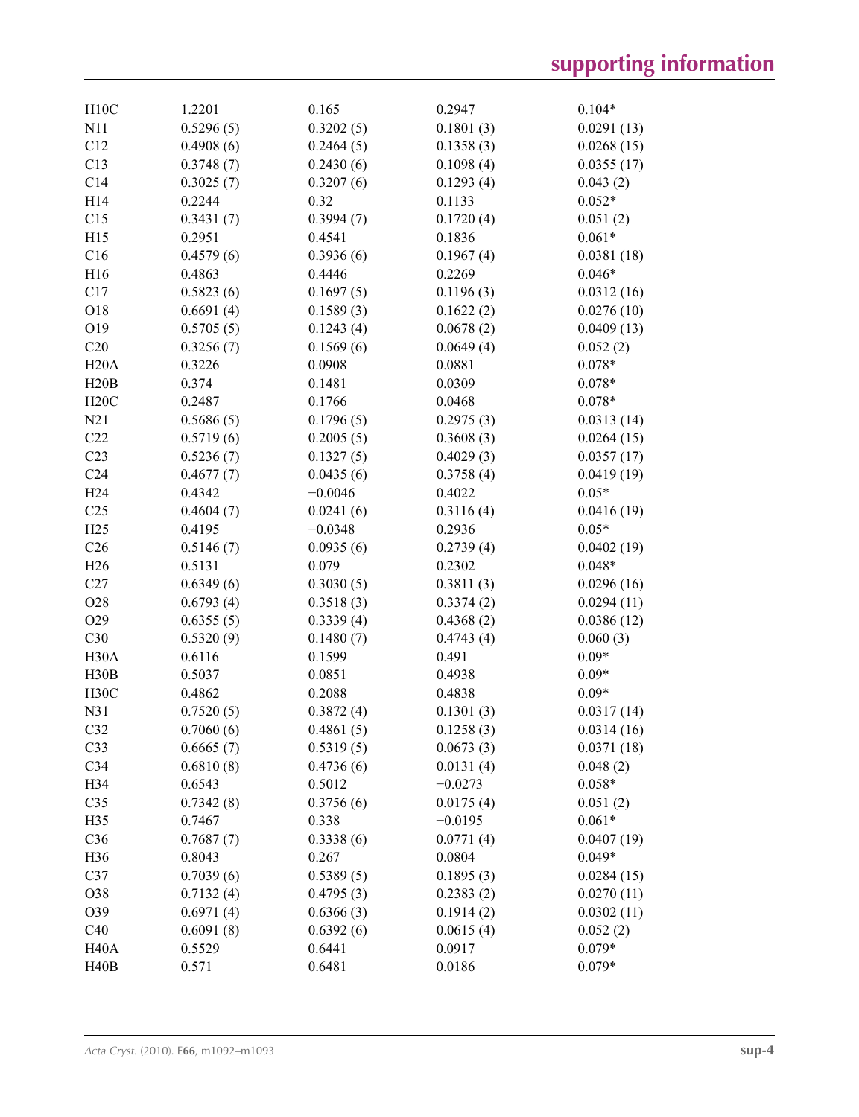| H10C              | 1.2201    | 0.165     | 0.2947    | $0.104*$   |
|-------------------|-----------|-----------|-----------|------------|
| N11               | 0.5296(5) | 0.3202(5) | 0.1801(3) | 0.0291(13) |
| C12               | 0.4908(6) | 0.2464(5) | 0.1358(3) | 0.0268(15) |
| C13               | 0.3748(7) | 0.2430(6) | 0.1098(4) | 0.0355(17) |
| C14               | 0.3025(7) | 0.3207(6) | 0.1293(4) | 0.043(2)   |
| H14               | 0.2244    | 0.32      | 0.1133    | $0.052*$   |
| C15               | 0.3431(7) | 0.3994(7) | 0.1720(4) | 0.051(2)   |
| H15               | 0.2951    | 0.4541    | 0.1836    | $0.061*$   |
| C16               | 0.4579(6) | 0.3936(6) | 0.1967(4) | 0.0381(18) |
| H16               | 0.4863    | 0.4446    | 0.2269    | $0.046*$   |
| C17               | 0.5823(6) | 0.1697(5) | 0.1196(3) | 0.0312(16) |
| O18               | 0.6691(4) | 0.1589(3) | 0.1622(2) | 0.0276(10) |
| O19               | 0.5705(5) | 0.1243(4) | 0.0678(2) | 0.0409(13) |
| C20               | 0.3256(7) | 0.1569(6) | 0.0649(4) | 0.052(2)   |
| H20A              | 0.3226    | 0.0908    | 0.0881    | $0.078*$   |
| H20B              | 0.374     | 0.1481    | 0.0309    | $0.078*$   |
| H20C              | 0.2487    | 0.1766    | 0.0468    | $0.078*$   |
| N21               | 0.5686(5) | 0.1796(5) | 0.2975(3) | 0.0313(14) |
| C22               | 0.5719(6) | 0.2005(5) | 0.3608(3) | 0.0264(15) |
| C <sub>23</sub>   | 0.5236(7) | 0.1327(5) | 0.4029(3) | 0.0357(17) |
| C <sub>24</sub>   | 0.4677(7) | 0.0435(6) | 0.3758(4) | 0.0419(19) |
| H <sub>24</sub>   | 0.4342    | $-0.0046$ | 0.4022    | $0.05*$    |
| C <sub>25</sub>   | 0.4604(7) | 0.0241(6) | 0.3116(4) | 0.0416(19) |
| H25               | 0.4195    | $-0.0348$ | 0.2936    | $0.05*$    |
| C <sub>26</sub>   | 0.5146(7) | 0.0935(6) | 0.2739(4) | 0.0402(19) |
| H26               | 0.5131    | 0.079     | 0.2302    | $0.048*$   |
| C27               | 0.6349(6) | 0.3030(5) | 0.3811(3) | 0.0296(16) |
| O28               | 0.6793(4) | 0.3518(3) | 0.3374(2) | 0.0294(11) |
| O29               | 0.6355(5) | 0.3339(4) | 0.4368(2) | 0.0386(12) |
| C30               | 0.5320(9) | 0.1480(7) | 0.4743(4) | 0.060(3)   |
| H <sub>30</sub> A | 0.6116    | 0.1599    | 0.491     | $0.09*$    |
| H30B              | 0.5037    | 0.0851    | 0.4938    | $0.09*$    |
| H <sub>30</sub> C | 0.4862    | 0.2088    | 0.4838    | $0.09*$    |
| N31               | 0.7520(5) | 0.3872(4) | 0.1301(3) | 0.0317(14) |
| C32               | 0.7060(6) | 0.4861(5) | 0.1258(3) | 0.0314(16) |
| C <sub>33</sub>   | 0.6665(7) | 0.5319(5) | 0.0673(3) | 0.0371(18) |
| C34               | 0.6810(8) | 0.4736(6) | 0.0131(4) | 0.048(2)   |
| H34               | 0.6543    | 0.5012    | $-0.0273$ | $0.058*$   |
| C <sub>35</sub>   | 0.7342(8) | 0.3756(6) | 0.0175(4) | 0.051(2)   |
| H35               | 0.7467    | 0.338     | $-0.0195$ | $0.061*$   |
| C36               | 0.7687(7) | 0.3338(6) | 0.0771(4) | 0.0407(19) |
| H36               | 0.8043    | 0.267     | 0.0804    | $0.049*$   |
| C37               | 0.7039(6) | 0.5389(5) | 0.1895(3) | 0.0284(15) |
| O38               | 0.7132(4) | 0.4795(3) | 0.2383(2) | 0.0270(11) |
| O39               | 0.6971(4) | 0.6366(3) | 0.1914(2) | 0.0302(11) |
| C40               | 0.6091(8) | 0.6392(6) | 0.0615(4) | 0.052(2)   |
| H <sub>40</sub> A | 0.5529    | 0.6441    | 0.0917    | $0.079*$   |
| H40B              | 0.571     | 0.6481    | 0.0186    | $0.079*$   |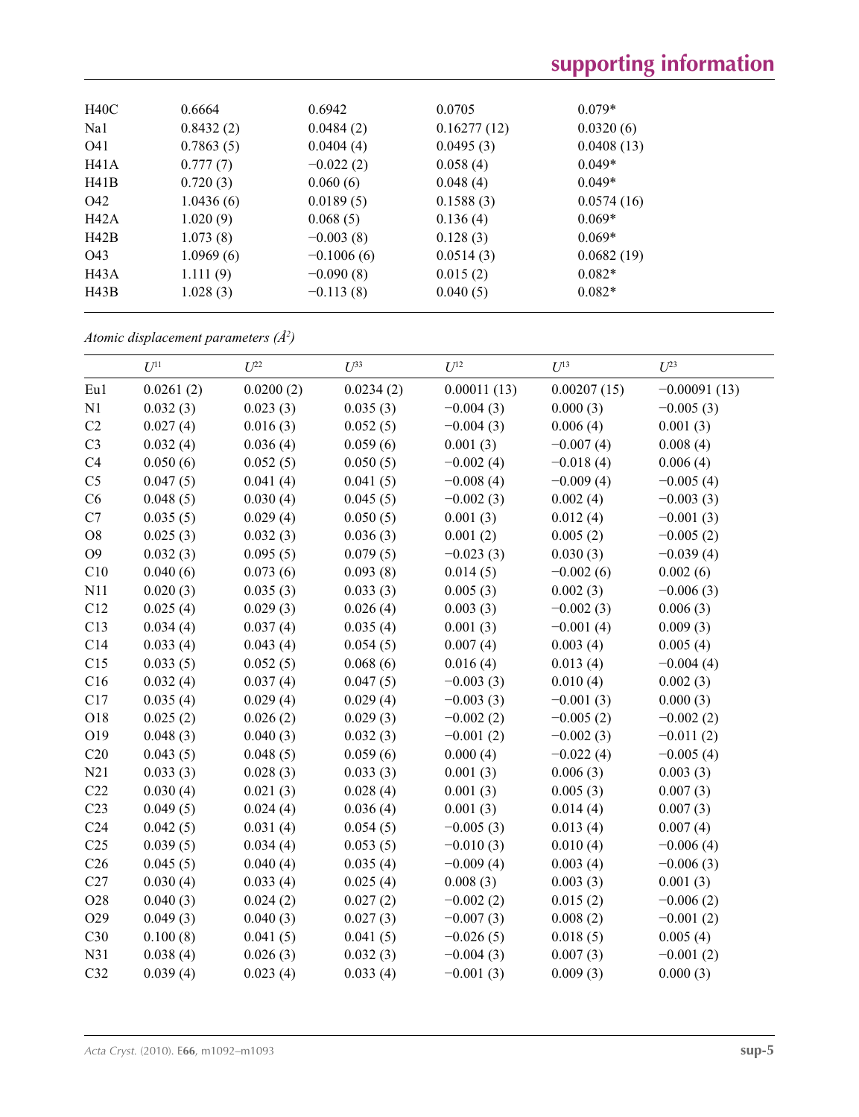| H40C | 0.6664    | 0.6942       | 0.0705      | $0.079*$   |  |
|------|-----------|--------------|-------------|------------|--|
| Na1  | 0.8432(2) | 0.0484(2)    | 0.16277(12) | 0.0320(6)  |  |
| O41  | 0.7863(5) | 0.0404(4)    | 0.0495(3)   | 0.0408(13) |  |
| H41A | 0.777(7)  | $-0.022(2)$  | 0.058(4)    | $0.049*$   |  |
| H41B | 0.720(3)  | 0.060(6)     | 0.048(4)    | $0.049*$   |  |
| O42  | 1.0436(6) | 0.0189(5)    | 0.1588(3)   | 0.0574(16) |  |
| H42A | 1.020(9)  | 0.068(5)     | 0.136(4)    | $0.069*$   |  |
| H42B | 1.073(8)  | $-0.003(8)$  | 0.128(3)    | $0.069*$   |  |
| O43  | 1.0969(6) | $-0.1006(6)$ | 0.0514(3)   | 0.0682(19) |  |
| H43A | 1.111(9)  | $-0.090(8)$  | 0.015(2)    | $0.082*$   |  |
| H43B | 1.028(3)  | $-0.113(8)$  | 0.040(5)    | $0.082*$   |  |
|      |           |              |             |            |  |

*Atomic displacement parameters (Å2 )*

|                 | $U^{11}$  | $U^{22}$  | $U^{33}$  | $U^{12}$    | $U^{13}$    | $U^{23}$       |
|-----------------|-----------|-----------|-----------|-------------|-------------|----------------|
| Eu1             | 0.0261(2) | 0.0200(2) | 0.0234(2) | 0.00011(13) | 0.00207(15) | $-0.00091(13)$ |
| N1              | 0.032(3)  | 0.023(3)  | 0.035(3)  | $-0.004(3)$ | 0.000(3)    | $-0.005(3)$    |
| C2              | 0.027(4)  | 0.016(3)  | 0.052(5)  | $-0.004(3)$ | 0.006(4)    | 0.001(3)       |
| C <sub>3</sub>  | 0.032(4)  | 0.036(4)  | 0.059(6)  | 0.001(3)    | $-0.007(4)$ | 0.008(4)       |
| C4              | 0.050(6)  | 0.052(5)  | 0.050(5)  | $-0.002(4)$ | $-0.018(4)$ | 0.006(4)       |
| C <sub>5</sub>  | 0.047(5)  | 0.041(4)  | 0.041(5)  | $-0.008(4)$ | $-0.009(4)$ | $-0.005(4)$    |
| C6              | 0.048(5)  | 0.030(4)  | 0.045(5)  | $-0.002(3)$ | 0.002(4)    | $-0.003(3)$    |
| C7              | 0.035(5)  | 0.029(4)  | 0.050(5)  | 0.001(3)    | 0.012(4)    | $-0.001(3)$    |
| O8              | 0.025(3)  | 0.032(3)  | 0.036(3)  | 0.001(2)    | 0.005(2)    | $-0.005(2)$    |
| O <sub>9</sub>  | 0.032(3)  | 0.095(5)  | 0.079(5)  | $-0.023(3)$ | 0.030(3)    | $-0.039(4)$    |
| C10             | 0.040(6)  | 0.073(6)  | 0.093(8)  | 0.014(5)    | $-0.002(6)$ | 0.002(6)       |
| N11             | 0.020(3)  | 0.035(3)  | 0.033(3)  | 0.005(3)    | 0.002(3)    | $-0.006(3)$    |
| C12             | 0.025(4)  | 0.029(3)  | 0.026(4)  | 0.003(3)    | $-0.002(3)$ | 0.006(3)       |
| C13             | 0.034(4)  | 0.037(4)  | 0.035(4)  | 0.001(3)    | $-0.001(4)$ | 0.009(3)       |
| C14             | 0.033(4)  | 0.043(4)  | 0.054(5)  | 0.007(4)    | 0.003(4)    | 0.005(4)       |
| C15             | 0.033(5)  | 0.052(5)  | 0.068(6)  | 0.016(4)    | 0.013(4)    | $-0.004(4)$    |
| C16             | 0.032(4)  | 0.037(4)  | 0.047(5)  | $-0.003(3)$ | 0.010(4)    | 0.002(3)       |
| C17             | 0.035(4)  | 0.029(4)  | 0.029(4)  | $-0.003(3)$ | $-0.001(3)$ | 0.000(3)       |
| O18             | 0.025(2)  | 0.026(2)  | 0.029(3)  | $-0.002(2)$ | $-0.005(2)$ | $-0.002(2)$    |
| O19             | 0.048(3)  | 0.040(3)  | 0.032(3)  | $-0.001(2)$ | $-0.002(3)$ | $-0.011(2)$    |
| C20             | 0.043(5)  | 0.048(5)  | 0.059(6)  | 0.000(4)    | $-0.022(4)$ | $-0.005(4)$    |
| N21             | 0.033(3)  | 0.028(3)  | 0.033(3)  | 0.001(3)    | 0.006(3)    | 0.003(3)       |
| C22             | 0.030(4)  | 0.021(3)  | 0.028(4)  | 0.001(3)    | 0.005(3)    | 0.007(3)       |
| C <sub>23</sub> | 0.049(5)  | 0.024(4)  | 0.036(4)  | 0.001(3)    | 0.014(4)    | 0.007(3)       |
| C <sub>24</sub> | 0.042(5)  | 0.031(4)  | 0.054(5)  | $-0.005(3)$ | 0.013(4)    | 0.007(4)       |
| C <sub>25</sub> | 0.039(5)  | 0.034(4)  | 0.053(5)  | $-0.010(3)$ | 0.010(4)    | $-0.006(4)$    |
| C <sub>26</sub> | 0.045(5)  | 0.040(4)  | 0.035(4)  | $-0.009(4)$ | 0.003(4)    | $-0.006(3)$    |
| C27             | 0.030(4)  | 0.033(4)  | 0.025(4)  | 0.008(3)    | 0.003(3)    | 0.001(3)       |
| O28             | 0.040(3)  | 0.024(2)  | 0.027(2)  | $-0.002(2)$ | 0.015(2)    | $-0.006(2)$    |
| O29             | 0.049(3)  | 0.040(3)  | 0.027(3)  | $-0.007(3)$ | 0.008(2)    | $-0.001(2)$    |
| C30             | 0.100(8)  | 0.041(5)  | 0.041(5)  | $-0.026(5)$ | 0.018(5)    | 0.005(4)       |
| N31             | 0.038(4)  | 0.026(3)  | 0.032(3)  | $-0.004(3)$ | 0.007(3)    | $-0.001(2)$    |
| C32             | 0.039(4)  | 0.023(4)  | 0.033(4)  | $-0.001(3)$ | 0.009(3)    | 0.000(3)       |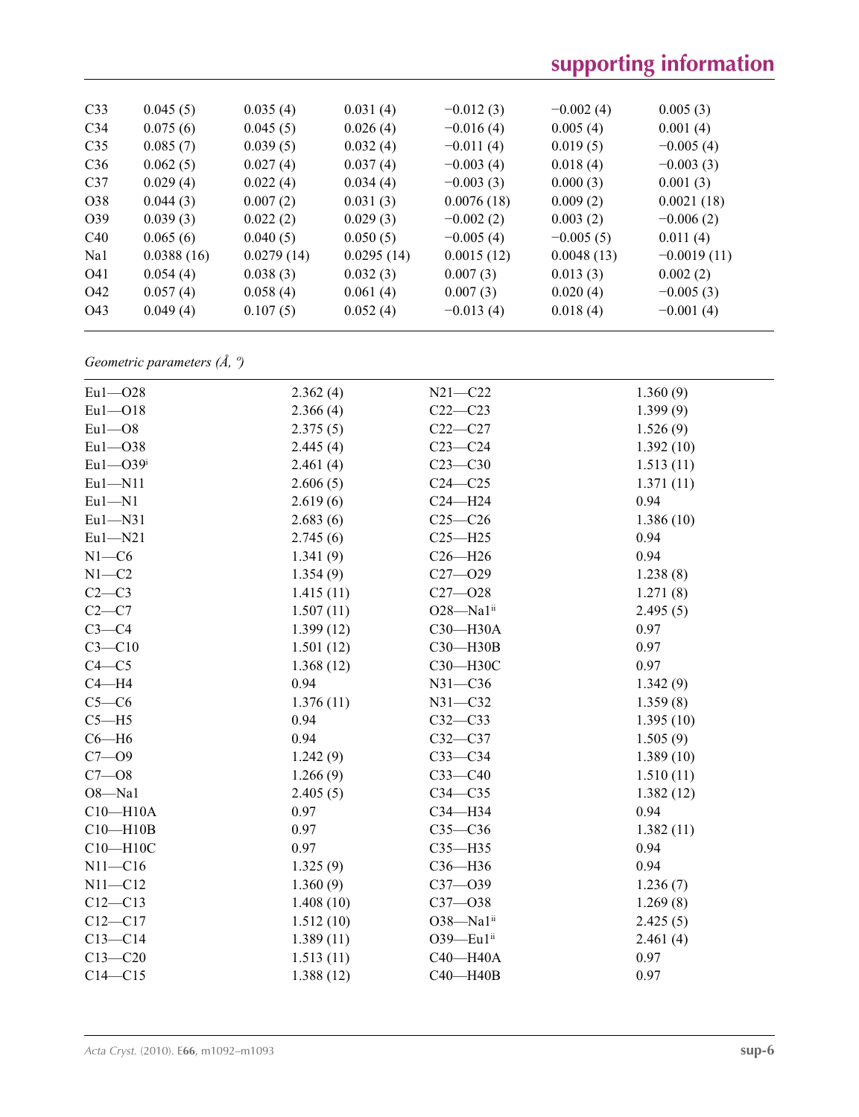| C <sub>33</sub> | 0.045(5)   | 0.035(4)   | 0.031(4)   | $-0.012(3)$ | $-0.002(4)$ | 0.005(3)      |  |
|-----------------|------------|------------|------------|-------------|-------------|---------------|--|
| C <sub>34</sub> | 0.075(6)   | 0.045(5)   | 0.026(4)   | $-0.016(4)$ | 0.005(4)    | 0.001(4)      |  |
| C <sub>35</sub> | 0.085(7)   | 0.039(5)   | 0.032(4)   | $-0.011(4)$ | 0.019(5)    | $-0.005(4)$   |  |
| C <sub>36</sub> | 0.062(5)   | 0.027(4)   | 0.037(4)   | $-0.003(4)$ | 0.018(4)    | $-0.003(3)$   |  |
| C <sub>37</sub> | 0.029(4)   | 0.022(4)   | 0.034(4)   | $-0.003(3)$ | 0.000(3)    | 0.001(3)      |  |
| O38             | 0.044(3)   | 0.007(2)   | 0.031(3)   | 0.0076(18)  | 0.009(2)    | 0.0021(18)    |  |
| O <sub>39</sub> | 0.039(3)   | 0.022(2)   | 0.029(3)   | $-0.002(2)$ | 0.003(2)    | $-0.006(2)$   |  |
| C40             | 0.065(6)   | 0.040(5)   | 0.050(5)   | $-0.005(4)$ | $-0.005(5)$ | 0.011(4)      |  |
| Na1             | 0.0388(16) | 0.0279(14) | 0.0295(14) | 0.0015(12)  | 0.0048(13)  | $-0.0019(11)$ |  |
| O41             | 0.054(4)   | 0.038(3)   | 0.032(3)   | 0.007(3)    | 0.013(3)    | 0.002(2)      |  |
| O42             | 0.057(4)   | 0.058(4)   | 0.061(4)   | 0.007(3)    | 0.020(4)    | $-0.005(3)$   |  |
| O43             | 0.049(4)   | 0.107(5)   | 0.052(4)   | $-0.013(4)$ | 0.018(4)    | $-0.001(4)$   |  |
|                 |            |            |            |             |             |               |  |

*Geometric parameters (Å, º)*

| $Eu1 - O28$   | 2.362(4)  | $N21 - C22$  | 1.360(9)  |
|---------------|-----------|--------------|-----------|
| $Eu1 - O18$   | 2.366(4)  | $C22-C23$    | 1.399(9)  |
| $Eu1 - O8$    | 2.375(5)  | $C22-C27$    | 1.526(9)  |
| $Eu1 - O38$   | 2.445(4)  | $C23-C24$    | 1.392(10) |
| $Eu1 - O39$ i | 2.461(4)  | $C23-C30$    | 1.513(11) |
| $Eu1 - N11$   | 2.606(5)  | $C24 - C25$  | 1.371(11) |
| $Eu1 - N1$    | 2.619(6)  | $C24 - H24$  | 0.94      |
| $Eu1 - N31$   | 2.683(6)  | $C25-C26$    | 1.386(10) |
| $Eu1 - N21$   | 2.745(6)  | $C25 - H25$  | 0.94      |
| $N1-C6$       | 1.341(9)  | $C26 - H26$  | 0.94      |
| $N1-C2$       | 1.354(9)  | $C27 - 029$  | 1.238(8)  |
| $C2-C3$       | 1.415(11) | $C27 - 028$  | 1.271(8)  |
| $C2-C7$       | 1.507(11) | O28-Na1ii    | 2.495(5)  |
| $C3-C4$       | 1.399(12) | C30-H30A     | 0.97      |
| $C3 - C10$    | 1.501(12) | C30-H30B     | 0.97      |
| $C4 - C5$     | 1.368(12) | СЗ0-НЗОС     | 0.97      |
| $C4 - H4$     | 0.94      | $N31 - C36$  | 1.342(9)  |
| $C5-C6$       | 1.376(11) | $N31 - C32$  | 1.359(8)  |
| $C5 - H5$     | 0.94      | $C32 - C33$  | 1.395(10) |
| $C6 - H6$     | 0.94      | $C32-C37$    | 1.505(9)  |
| $C7 - O9$     | 1.242(9)  | $C33-C34$    | 1.389(10) |
| $C7 - 08$     | 1.266(9)  | $C33-C40$    | 1.510(11) |
| $O8 - Na1$    | 2.405(5)  | $C34 - C35$  | 1.382(12) |
| $C10 - H10A$  | 0.97      | C34-H34      | 0.94      |
| $C10 - H10B$  | 0.97      | $C35-C36$    | 1.382(11) |
| C10-H10C      | 0.97      | $C35 - H35$  | 0.94      |
| $N11 - C16$   | 1.325(9)  | C36-H36      | 0.94      |
| $N11 - C12$   | 1.360(9)  | $C37 - O39$  | 1.236(7)  |
| $C12-C13$     | 1.408(10) | $C37 - 038$  | 1.269(8)  |
| $C12 - C17$   | 1.512(10) | O38-Na1ii    | 2.425(5)  |
| $C13 - C14$   | 1.389(11) | 039-Eu1ii    | 2.461(4)  |
| $C13 - C20$   | 1.513(11) | C40-H40A     | 0.97      |
| $C14 - C15$   | 1.388(12) | $C40 - H40B$ | 0.97      |
|               |           |              |           |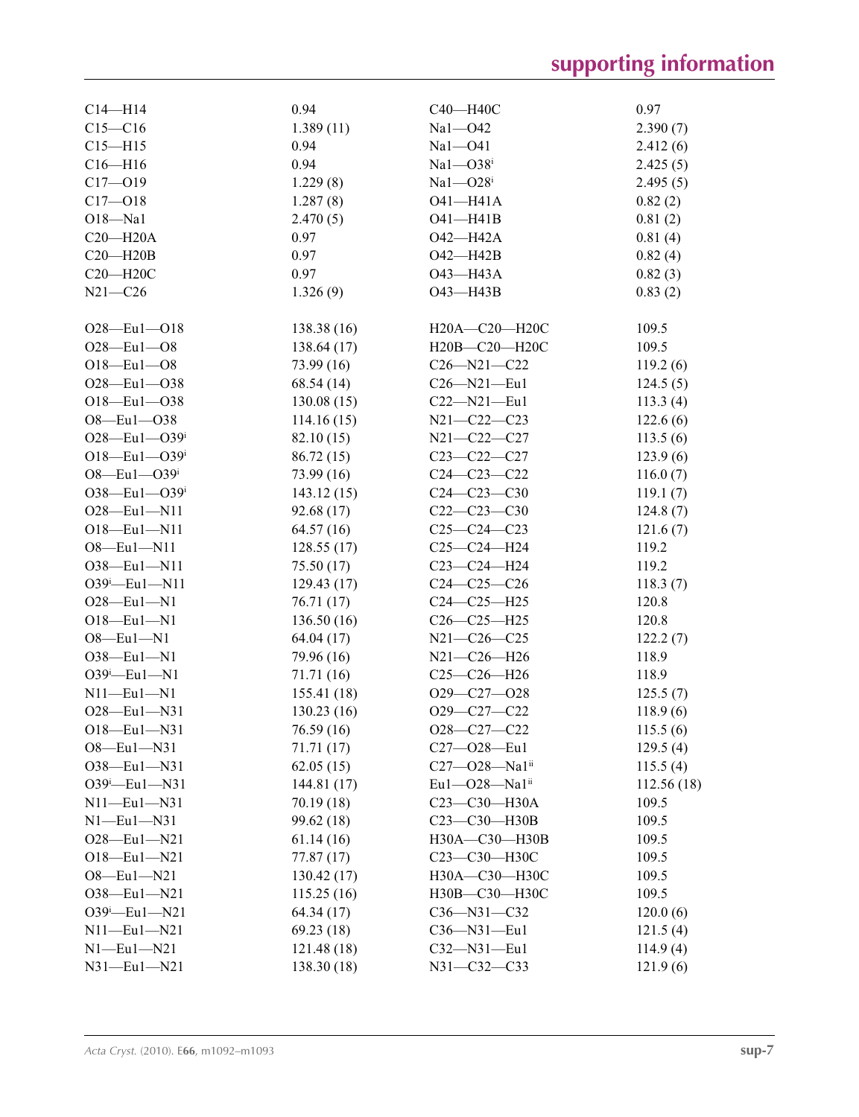| $C14 - H14$         | 0.94        | C40-H40C                          | 0.97       |
|---------------------|-------------|-----------------------------------|------------|
| $C15 - C16$         | 1.389(11)   | Na1-042                           | 2.390(7)   |
| $C15 - H15$         | 0.94        | $Na1 - O41$                       | 2.412(6)   |
| $C16 - H16$         | 0.94        | $Na1 - O38$ <sup>i</sup>          | 2.425(5)   |
| $C17 - 019$         | 1.229(8)    | $Na1 - O28i$                      | 2.495(5)   |
| $C17 - 018$         | 1.287(8)    | O41-H41A                          | 0.82(2)    |
| $O18 - Na1$         | 2.470(5)    | $O41 - H41B$                      | 0.81(2)    |
| $C20 - H20A$        | 0.97        | O42-H42A                          | 0.81(4)    |
| $C20 - H20B$        | 0.97        | $O42 - H42B$                      | 0.82(4)    |
| $C20 - H20C$        | 0.97        | O43-H43A                          | 0.82(3)    |
| $N21 - C26$         | 1.326(9)    | O43-H43B                          | 0.83(2)    |
|                     |             |                                   |            |
| $O28 - Eu1 - O18$   | 138.38 (16) | $H20A - C20 - H20C$               | 109.5      |
| $O28 - Eu1 - O8$    | 138.64(17)  | H20B-C20-H20C                     | 109.5      |
| $O18 - Eu1 - O8$    | 73.99(16)   | $C26 - N21 - C22$                 | 119.2(6)   |
| $O28 - Eu1 - O38$   | 68.54(14)   | $C26 - N21 - Eu1$                 | 124.5(5)   |
| $O18 - Eu1 - O38$   | 130.08(15)  | $C22 - N21 - Eu1$                 | 113.3(4)   |
| $O8 - Eu1 - O38$    | 114.16(15)  | N21-C22-C23                       | 122.6(6)   |
| $O28$ —Eu1— $O39^i$ | 82.10 (15)  | N21-C22-C27                       | 113.5(6)   |
| $O18$ —Eu1— $O39^i$ | 86.72(15)   | $C23-C22-C27$                     | 123.9(6)   |
| $O8$ —Eu1— $O39i$   | 73.99 (16)  | $C24 - C23 - C22$                 | 116.0(7)   |
| $O38$ —Eu1— $O39^i$ | 143.12(15)  | $C24 - C23 - C30$                 | 119.1(7)   |
| $O28 - Eu1 - N11$   | 92.68 (17)  | $C22-C23-C30$                     | 124.8(7)   |
| $O18 - Eu1 - N11$   | 64.57(16)   | $C25-C24-C23$                     | 121.6(7)   |
| $O8$ -Eul-N11       | 128.55(17)  | $C25-C24-H24$                     | 119.2      |
| 038-Eu1-N11         |             | C23-C24-H24                       | 119.2      |
|                     | 75.50 (17)  |                                   |            |
| $O39^i$ -Eul-N11    | 129.43(17)  | $C24-C25-C26$<br>$C24-C25-H25$    | 118.3(7)   |
| $O28 - Eu1 - N1$    | 76.71 (17)  |                                   | 120.8      |
| $O18 - Eu1 - N1$    | 136.50(16)  | $C26-C25-H25$                     | 120.8      |
| $O8$ -Eul-N1        | 64.04 (17)  | N21-C26-C25                       | 122.2(7)   |
| $O38 - Eu1 - N1$    | 79.96 (16)  | N21-C26-H26                       | 118.9      |
| $O39^i$ -Eul-N1     | 71.71 (16)  | $C25-C26-H26$                     | 118.9      |
| $N11$ —Eu1—N1       | 155.41(18)  | $O29 - C27 - O28$                 | 125.5(7)   |
| $O28 - Eu1 - N31$   | 130.23(16)  | O29-C27-C22                       | 118.9(6)   |
| O18-Eu1-N31         | 76.59 (16)  | $O28-C27-C22$                     | 115.5(6)   |
| $O8$ —Eu1—N31       | 71.71 (17)  | $C27 - 028 - Eu1$                 | 129.5(4)   |
| $O38$ —Eu1—N31      | 62.05(15)   | $C27 - 028 - Na1$ <sup>ii</sup>   | 115.5(4)   |
| $O39^i$ -Eu1-N31    | 144.81(17)  | Eul $-$ O28 $-$ Nal <sup>ii</sup> | 112.56(18) |
| $N11$ —Eu $1$ —N31  | 70.19 (18)  | C23-C30-H30A                      | 109.5      |
| $N1$ —Eu1—N31       | 99.62 (18)  | C23-C30-H30B                      | 109.5      |
| $O28 - Eu1 - N21$   | 61.14(16)   | H30A-C30-H30B                     | 109.5      |
| $O18 - Eu1 - N21$   | 77.87 (17)  | С23-С30-Н30С                      | 109.5      |
| $O8 - Eu1 - N21$    | 130.42(17)  | H30A-C30-H30C                     | 109.5      |
| $O38$ —Eu1—N21      | 115.25(16)  | H30B-C30-H30C                     | 109.5      |
| $O39^i$ -Eu1-N21    | 64.34(17)   | $C36 - N31 - C32$                 | 120.0(6)   |
| $N11$ —Eu $1$ —N21  | 69.23(18)   | $C36 - N31 - Eu1$                 | 121.5(4)   |
| $N1$ —Eu $1$ —N21   | 121.48 (18) | C32-N31-Eu1                       | 114.9(4)   |
| $N31$ -Eu $1$ -N21  | 138.30 (18) | N31-C32-C33                       | 121.9(6)   |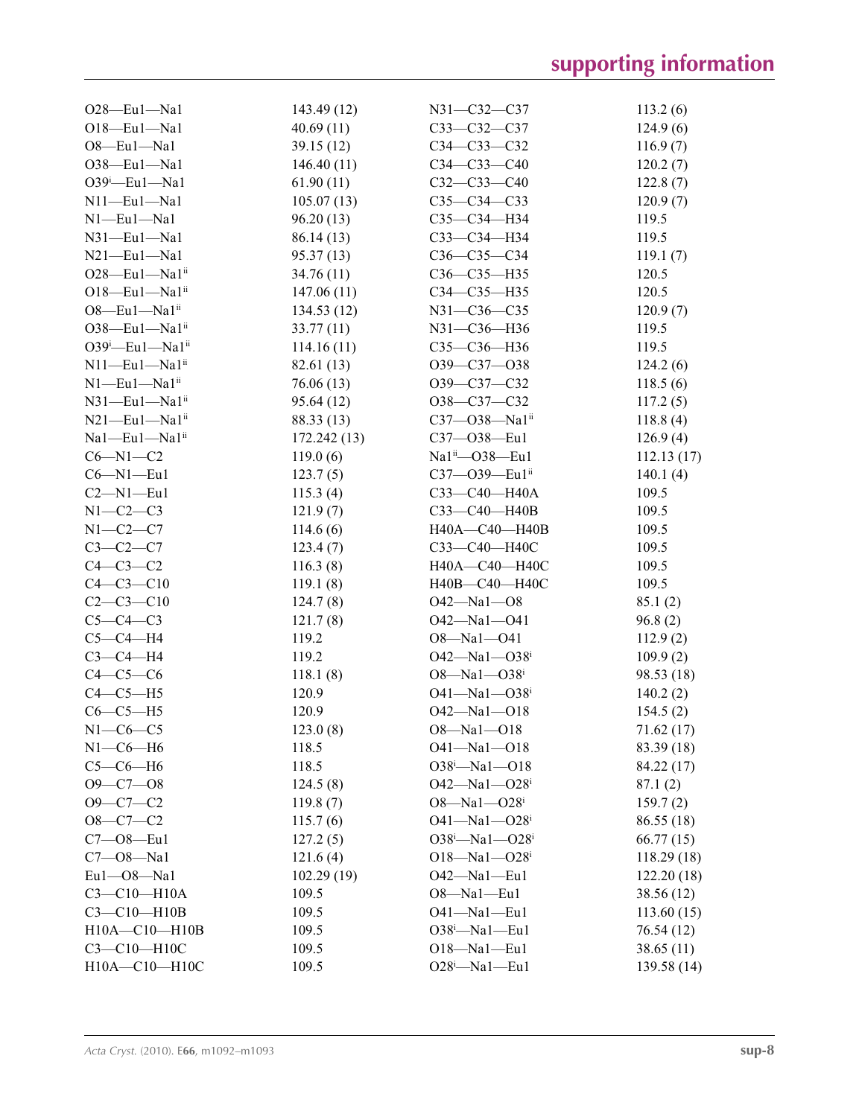| $O28$ —Eul—Nal                      | 143.49 (12)          | $N31 - C32 - C37$                      | 113.2(6)                |
|-------------------------------------|----------------------|----------------------------------------|-------------------------|
| $O18$ -Eul-Nal                      | 40.69(11)            | $C33-C32-C37$                          | 124.9(6)                |
| $O8$ -Eul-Nal                       | 39.15(12)            | $C34 - C33 - C32$                      | 116.9(7)                |
| $O38$ -Eul-Nal                      | 146.40(11)           | $C34 - C33 - C40$                      | 120.2(7)                |
| $O39$ <sup>i</sup> -Eul-Nal         | 61.90(11)            | $C32-C33-C40$                          | 122.8(7)                |
| $N11$ —Eu $1$ —Na1                  | 105.07(13)           | $C35-C34-C33$                          | 120.9(7)                |
| $N1$ —Eu $1$ —Na $1$                | 96.20(13)            | C35-C34-H34                            | 119.5                   |
| $N31$ —Eu $1$ —Na1                  | 86.14 (13)           | C33-C34-H34                            | 119.5                   |
| $N21$ —Eu $1$ —Na1                  | 95.37(13)            | $C36 - C35 - C34$                      | 119.1(7)                |
| $O28$ —Eu1—Na1 $i$                  | 34.76(11)            | $C36 - C35 - H35$                      | 120.5                   |
| $O18$ —Eu $1$ —Na $1$ <sup>ii</sup> | 147.06(11)           | C34-C35-H35                            | 120.5                   |
| $O8$ —Eul—Nal <sup>ii</sup>         | 134.53(12)           | N31-C36-C35                            | 120.9(7)                |
| $O38$ —Eul—Nal <sup>ii</sup>        | 33.77(11)            | N31-C36-H36                            | 119.5                   |
| $O39^i$ -Eul-Nal <sup>ii</sup>      | 114.16(11)           | C35-C36-H36                            | 119.5                   |
| $N11$ —Eu $1$ —Na $1$ <sup>ii</sup> | 82.61 (13)           | $O39 - C37 - O38$                      | 124.2(6)                |
| $N1$ —Eu $1$ —Na $1$ <sup>ii</sup>  | 76.06(13)            | O39-C37-C32                            | 118.5(6)                |
| $N31$ —Eu $1$ —Na $1$ <sup>ii</sup> | 95.64(12)            | $O38-C37-C32$                          | 117.2(5)                |
| $N21$ —Eu1—Na1 <sup>ii</sup>        | 88.33 (13)           | $C37 - O38 - Na1ii$                    | 118.8(4)                |
| Na1-Eu1-Na1ii                       | 172.242(13)          | $C37 - 038 - Eu1$                      | 126.9(4)                |
| $C6 - N1 - C2$                      | 119.0(6)             | $Na1ii$ — $O38$ —Eu1                   | 112.13(17)              |
| $C6 - N1 - Eu1$                     | 123.7(5)             | $C37 - O39 - Eu1ii$                    | 140.1(4)                |
| $C2-M1-Eu1$                         | 115.3(4)             | C33-C40-H40A                           | 109.5                   |
| $N1-C2-C3$                          | 121.9(7)             | $C33 - C40 - H40B$                     | 109.5                   |
| $N1-C2-C7$                          | 114.6(6)             | H40A-C40-H40B                          | 109.5                   |
| $C3-C2-C7$                          | 123.4(7)             | СЗЗ-С40-Н40С                           | 109.5                   |
| $C4-C3-C2$                          | 116.3(8)             | H40A-C40-H40C                          | 109.5                   |
| $C4 - C3 - C10$                     | 119.1(8)             | H40B-C40-H40C                          | 109.5                   |
| $C2-C3-C10$                         | 124.7(8)             | $O42 - Na1 - O8$                       | 85.1(2)                 |
| $C5-C4-C3$                          | 121.7(8)             | $O42 - Na1 - O41$                      | 96.8(2)                 |
| $C5-C4-H4$                          | 119.2                | $O8 - Na1 - O41$                       | 112.9(2)                |
| $C3-C4-H4$                          | 119.2                | $O42 - Na1 - O38$ <sup>i</sup>         | 109.9(2)                |
| $C4-C5-C6$                          | 118.1(8)             | 08—Na1—038 <sup>i</sup>                | 98.53 (18)              |
| $C4-C5-H5$                          | 120.9                | $O41 - Na1 - O38$ <sup>i</sup>         | 140.2(2)                |
| $C6-C5-H5$                          | 120.9                | $O42 - Na1 - O18$                      | 154.5(2)                |
| $N1-C6-C5$                          | 123.0(8)             | 08—Na1—O18                             | 71.62 (17)              |
| $N1-C6-H6$                          | 118.5                | $O41 - Na1 - O18$                      | 83.39 (18)              |
| $C5-C6-H6$                          | 118.5                | $O38^i$ -Na1- $O18$                    | 84.22 (17)              |
| $O9 - C7 - O8$                      | 124.5(8)             | $O42 - Na1 - O28$                      | 87.1(2)                 |
| $O9 - C7 - C2$                      | 119.8(7)             | $O8 - Na1 - O28$                       | 159.7(2)                |
| $O8-C7-C2$                          | 115.7(6)             | $O41 - Na1 - O28$                      |                         |
| $C7 - 08 - Eu1$                     |                      | O38 <sup>i</sup> -Na1-O28 <sup>i</sup> | 86.55(18)               |
| $C7 - 08 - Na1$                     | 127.2(5)<br>121.6(4) | $O18 - Na1 - O28$                      | 66.77(15)<br>118.29(18) |
| $Eu1 - O8 - Na1$                    | 102.29(19)           | $O42 - Na1 - Eu1$                      |                         |
| $C3 - C10 - H10A$                   | 109.5                |                                        | 122.20(18)              |
| $C3-C10-H10B$                       |                      | $O8 - Na1 - Eu1$                       | 38.56 (12)              |
| $H10A - C10 - H10B$                 | 109.5<br>109.5       | $O41 - Na1 - Eu1$<br>$O38^i$ -Nal-Eul  | 113.60(15)              |
| C3-C10-H10C                         | 109.5                | $O18 - Na1 - Eu1$                      | 76.54 (12)              |
| H10A-C10-H10C                       | 109.5                | $O28^i$ -Nal-Eul                       | 38.65(11)               |
|                                     |                      |                                        | 139.58 (14)             |